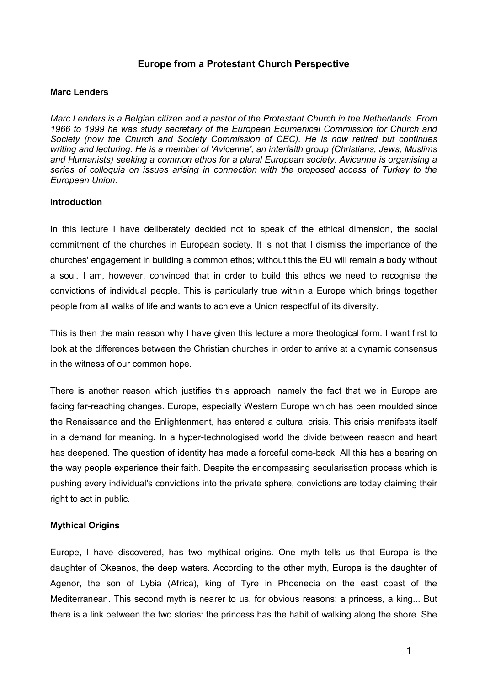## **Europe from a Protestant Church Perspective**

## **Marc Lenders**

*Marc Lenders is a Belgian citizen and a pastor of the Protestant Church in the Netherlands. From 1966 to 1999 he was study secretary of the European Ecumenical Commission for Church and Marc Lenders is a Belgian citizen and a pastor of the Protestant Church in the Netherlands. From*<br>1966 to 1999 he was study secretary of the European Ecumenical Commission for Church and<br>Society (now the Church and Societ *writing and lecturing. He is a member of 'Avicenne', an interfaith group (Christians, Jews, Muslims*  Society (now the Church and Society Commission of CEC). He is now retired but continues<br>writing and lecturing. He is a member of 'Avicenne', an interfaith group (Christians, Jews, Muslims<br>and Humanists) seeking a common et *series of colloquia on issues arising in connection with the proposed access of Turkey to the European Union.* 

## **Introduction**

In this lecture I have deliberately decided not to speak of the ethical dimension, the social commitment of the churches in European society. It is not that I dismiss the importance of the churches' engagement in building a common ethos; without this the EU will remain a body without a soul. I am, however, convinced that in order to build this ethos we need to recognise the convictions of individual people. This is particularly true within a Europe which brings together people from all walks of life and wants to achieve a Union respectful of its diversity.

This is then the main reason why I have given this lecture a more theological form. I want first to look at the differences between the Christian churches in order to arrive at a dynamic consensus in the witness of our common hope.

There is another reason which justifies this approach, namely the fact that we in Europe are facing far-reaching changes. Europe, especially Western Europe which has been moulded since the Renaissance and the Enlightenment, has entered a cultural crisis. This crisis manifests itself in a demand for meaning. In a hyper-technologised world the divide between reason and heart has deepened. The question of identity has made a forceful come-back. All this has a bearing on the way people experience their faith. Despite the encompassing secularisation process which is pushing every individual's convictions into the private sphere, convictions are today claiming their right to act in public.

## **Mythical Origins**

Europe, I have discovered, has two mythical origins. One myth tells us that Europa is the daughter of Okeanos, the deep waters. According to the other myth, Europa is the daughter of Agenor, the son of Lybia (Africa), king of Tyre in Phoenecia on the east coast of the Mediterranean. This second myth is nearer to us, for obvious reasons: a princess, a king... But there is a link between the two stories: the princess has the habit of walking along the shore. She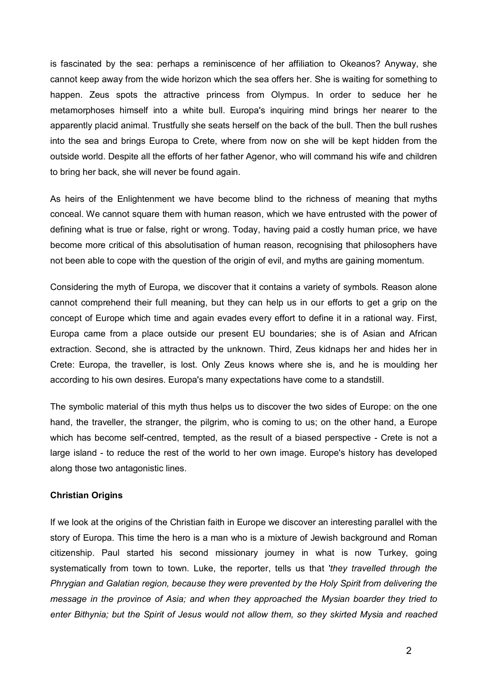is fascinated by the sea: perhaps a reminiscence of her affiliation to Okeanos? Anyway, she cannot keep away from the wide horizon which the sea offers her. She is waiting for something to happen. Zeus spots the attractive princess from Olympus. In order to seduce her he metamorphoses himself into a white bull. Europa's inquiring mind brings her nearer to the metamorphoses himself into a white bull. Europa's inquiring mind brings her nearer to the<br>apparently placid animal. Trustfully she seats herself on the back of the bull. Then the bull rushes into the sea and brings Europa to Crete, where from now on she will be kept hidden from the outside world. Despite all the efforts of her father Agenor, who will command his wife and children to bring her back, she will never be found again.

As heirs of the Enlightenment we have become blind to the richness of meaning that myths conceal. We cannot square them with human reason, which we have entrusted with the power of conceal. We cannot square them with human reason, which we have entrusted with the power of<br>defining what is true or false, right or wrong. Today, having paid a costly human price, we have become more critical of this absolutisation of human reason, recognising that philosophers have not been able to cope with the question of the origin of evil, and myths are gaining momentum.

Considering the myth of Europa, we discover that it contains a variety of symbols. Reason alone cannot comprehend their full meaning, but they can help us in our efforts to get a grip on the concept of Europe which time and again evades every effort to define it in a rational way. First, Europa came from a place outside our present EU boundaries; she is of Asian and African extraction. Second, she is attracted by the unknown. Third, Zeus kidnaps her and hides her in Crete: Europa, the traveller, is lost. Only Zeus knows where she is, and he is moulding her according to his own desires. Europa's many expectations have come to a standstill.

The symbolic material of this myth thus helps us to discover the two sides of Europe: on the one hand, the traveller, the stranger, the pilgrim, who is coming to us; on the other hand, a Europe hand, the traveller, the stranger, the pilgrim, who is coming to us; on the other hand, a Europe<br>which has become self-centred, tempted, as the result of a biased perspective - Crete is not a which has become self-centred, tempted, as the result of a biased perspective - Crete is not a<br>large island - to reduce the rest of the world to her own image. Europe's history has developed along those two antagonistic lines.

## **Christian Origins**

If we look at the origins of the Christian faith in Europe we discover an interesting parallel with the story of Europa. This time the hero is a man who is a mixture of Jewish background and Roman citizenship. Paul started his second missionary journey in what is now Turkey, going systematically from town to town. Luke, the reporter, tells us that '*they travelled through the Phrygian and Galatian region, because they were prevented by the Holy Spirit from delivering the message in the province of Asia; and when they approached the Mysian boarder they tried to enter Bithynia; but the Spirit of Jesus would not allow them, so they skirted Mysia and reached*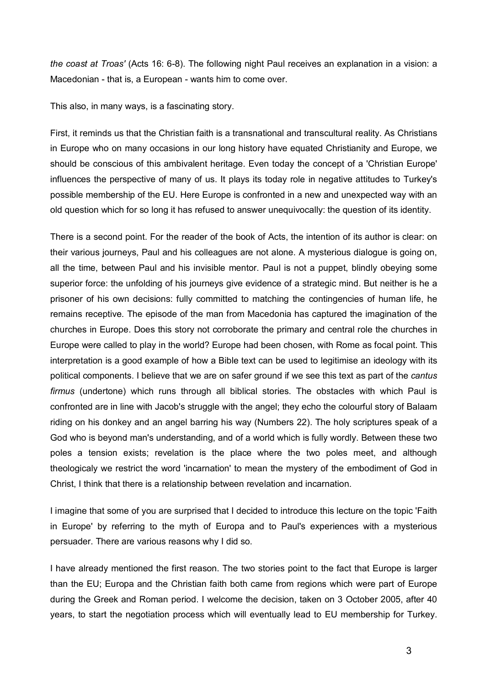*the coast at Troas'* (Acts 16: 6-8). The following night Paul receives an explanation in a vision: a *the coast at Troas'* (Acts 16: 6-8). The following night Paul red<br>Macedonian - that is, a European - wants him to come over.

This also, in many ways, is a fascinating story.

First, it reminds us that the Christian faith is a transnational and transcultural reality. As Christians in Europe who on many occasions in our long history have equated Christianity and Europe, we should be conscious of this ambivalent heritage. Even today the concept of a 'Christian Europe' influences the perspective of many of us. It plays its today role in negative attitudes to Turkey's possible membership of the EU. Here Europe is confronted in a new and unexpected way with an old question which for so long it has refused to answer unequivocally: the question of its identity.

There is a second point. For the reader of the book of Acts, the intention of its author is clear: on their various journeys, Paul and his colleagues are not alone. A mysterious dialogue is going on, all the time, between Paul and his invisible mentor. Paul is not a puppet, blindly obeying some superior force: the unfolding of his journeys give evidence of a strategic mind. But neither is he a<br>superior force: the unfolding of his journeys give evidence of a strategic mind. But neither is he a prisoner of his own decisions: fully committed to matching the contingencies of human life, he remains receptive. The episode of the man from Macedonia has captured the imagination of the churches in Europe. Does this story not corroborate the primary and central role the churches in Europe were called to play in the world? Europe had been chosen, with Rome as focal point. This interpretation is a good example of how a Bible text can be used to legitimise an ideology with its political components. I believe that we are on safer ground if we see this text as part of the *cantus firmus* (undertone) which runs through all biblical stories. The obstacles with which Paul is confronted are in line with Jacob's struggle with the angel; they echo the colourful story of Balaam riding on his donkey and an angel barring his way (Numbers 22). The holy scriptures speak of a God who is beyond man's understanding, and of a world which is fully wordly. Between these two poles a tension exists; revelation is the place where the two poles meet, and although theologicaly we restrict the word 'incarnation' to mean the mystery of the embodiment of God in .<br>theologicaly we restrict the word 'incarnation' to mean the mystery of the em<br>Christ, I think that there is a relationship between revelation and incarnation.

I imagine that some of you are surprised that I decided to introduce this lecture on the topic 'Faith in Europe' by referring to the myth of Europa and to Paul's experiences with a mysterious persuader. There are various reasons why I did so.

I have already mentioned the first reason. The two stories point to the fact that Europe is larger than the EU; Europa and the Christian faith both came from regions which were part of Europe during the Greek and Roman period. I welcome the decision, taken on 3 October 2005, after 40 years, to start the negotiation process which will eventually lead to EU membership for Turkey.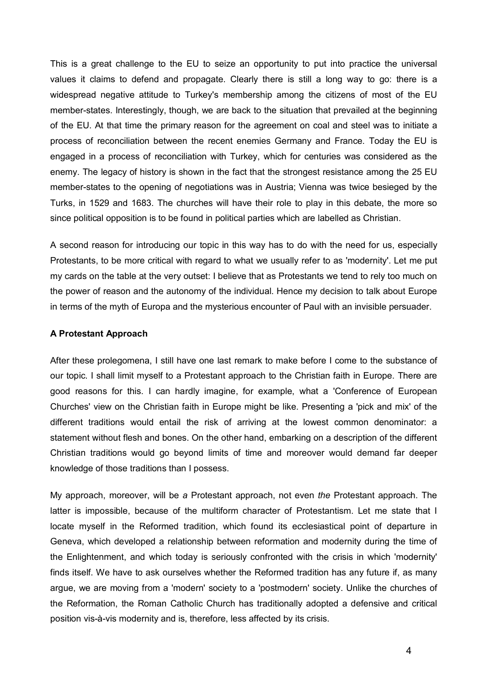This is a great challenge to the EU to seize an opportunity to put into practice the universal values it claims to defend and propagate. Clearly there is still a long way to go: there is a widespread negative attitude to Turkey's membership among the citizens of most of the EU widespread negative attitude to Turkey's membership among the citizens of most of the EU<br>member-states. Interestingly, though, we are back to the situation that prevailed at the beginning of the EU. At that time the primary reason for the agreement on coal and steel was to initiate a process of reconciliation between the recent enemies Germany and France. Today the EU is engaged in a process of reconciliation with Turkey, which for centuries was considered as the enemy. The legacy of history is shown in the fact that the strongest resistance among the 25 EU member-states to the opening of negotiations was in Austria; Vienna was twice besieged by the Turks, in 1529 and 1683. The churches will have their role to play in this debate, the more so since political opposition is to be found in political parties which are labelled as Christian.

A second reason for introducing our topic in this way has to do with the need for us, especially Protestants, to be more critical with regard to what we usually refer to as 'modernity'. Let me put my cards on the table at the very outset: I believe that as Protestants we tend to rely too much on the power of reason and the autonomy of the individual. Hence my decision to talk about Europe in terms of the myth of Europa and the mysterious encounter of Paul with an invisible persuader.

#### **A Protestant Approach**

After these prolegomena, I still have one last remark to make before I come to the substance of our topic. I shall limit myself to a Protestant approach to the Christian faith in Europe. There are good reasons for this. I can hardly imagine, for example, what a 'Conference of European qood reasons for this. I can hardly imagine, for example, what a 'Conference of European<br>Churches' view on the Christian faith in Europe might be like. Presenting a 'pick and mix' of the different traditions would entail the risk of arriving at the lowest common denominator: a statement without flesh and bones. On the other hand, embarking on a description of the different Christian traditions would go beyond limits of time and moreover would demand far deeper knowledge of those traditions than I possess.

My approach, moreover, will be *a* Protestant approach, not even *the* Protestant approach. The latter is impossible, because of the multiform character of Protestantism. Let me state that I locate myself in the Reformed tradition, which found its ecclesiastical point of departure in Geneva, which developed a relationship between reformation and modernity during the time of Geneva, which developed a relationship between reformation and modernity during the time of<br>the Enlightenment, and which today is seriously confronted with the crisis in which 'modernity' finds itself. We have to ask ourselves whether the Reformed tradition has any future if, as many argue, we are moving from a 'modern' society to a 'postmodern' society. Unlike the churches of the Reformation, the Roman Catholic Church has traditionally adopted a defensive and critical position vis-à-vis modernity and is, therefore, less affected by its crisis.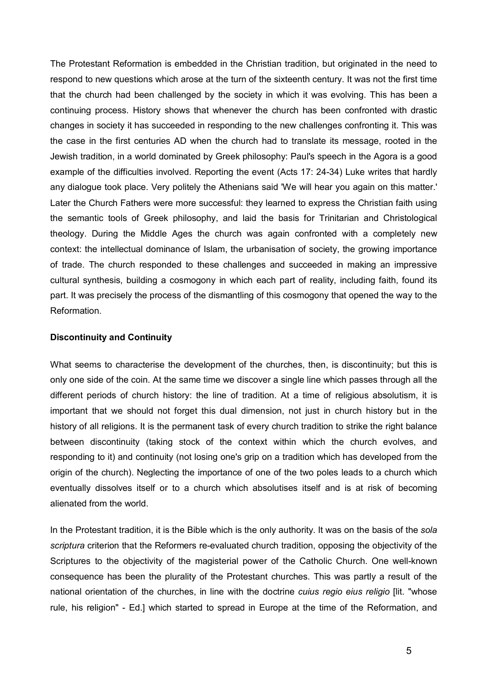The Protestant Reformation is embedded in the Christian tradition, but originated in the need to respond to new questions which arose at the turn of the sixteenth century. It was not the first time that the church had been challenged by the society in which it was evolving. This has been a that the church had been challenged by the society in which it was evolving. This has been a<br>continuing process. History shows that whenever the church has been confronted with drastic changes in society it has succeeded in responding to the new challenges confronting it. This was the case in the first centuries AD when the church had to translate its message, rooted in the Jewish tradition, in a world dominated by Greek philosophy: Paul's speech in the Agora is a good example of the difficulties involved. Reporting the event (Acts 17: 24-34) Luke writes that hardly any dialogue took place. Very politely the Athenians said 'We will hear you again on this matter.' Later the Church Fathers were more successful: they learned to express the Christian faith using the semantic tools of Greek philosophy, and laid the basis for Trinitarian and Christological theology. During the Middle Ages the church was again confronted with a completely new context: the intellectual dominance of Islam, the urbanisation of society, the growing importance of trade. The church responded to these challenges and succeeded in making an impressive cultural synthesis, building a cosmogony in which each part of reality, including faith, found its part. It was precisely the process of the dismantling of this cosmogony that opened the way to the Reformation.

## **Discontinuity and Continuity**

What seems to characterise the development of the churches, then, is discontinuity; but this is only one side of the coin. At the same time we discover a single line which passes through all the different periods of church history: the line of tradition. At a time of religious absolutism, it is important that we should not forget this dual dimension, not just in church history but in the history of all religions. It is the permanent task of every church tradition to strike the right balance between discontinuity (taking stock of the context within which the church evolves, and responding to it) and continuity (not losing one's grip on a tradition which has developed from the origin of the church). Neglecting the importance of one of the two poles leads to a church which eventually dissolves itself or to a church which absolutises itself and is at risk of becoming alienated from the world.

In the Protestant tradition, it is the Bible which is the only authority. It was on the basis of the *sola scriptura* criterion that the Reformers re-evaluated church tradition, opposing the objectivity of the Scriptures to the objectivity of the magisterial power of the Catholic Church. One well-known consequence has been the plurality of the Protestant churches. This was partly a result of the consequence has been the plurality of the Protestant churches. This was partly a result of the<br>national orientation of the churches, in line with the doctrine *cuius regio eius religio* [lit. "whose national orientation of the churches, in line with the doctrine *cuius regio eius religio* [lit. "whose rule, his religion" - Ed.] which started to spread in Europe at the time of the Reformation, and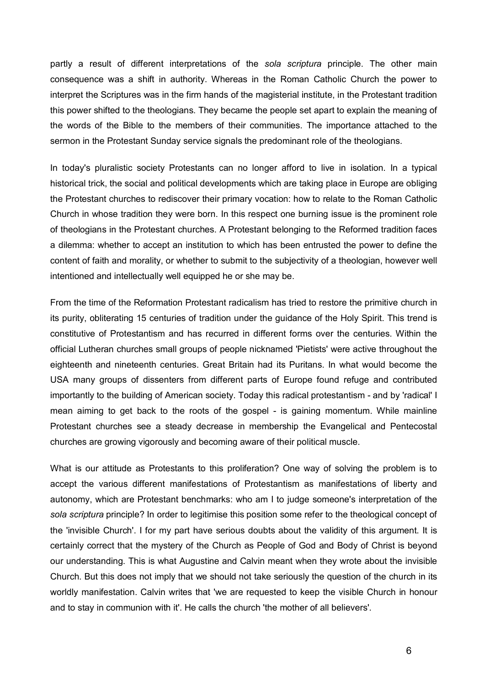partly a result of different interpretations of the *sola scriptura* principle. The other main consequence was a shift in authority. Whereas in the Roman Catholic Church the power to interpret the Scriptures was in the firm hands of the magisterial institute, in the Protestant tradition interpret the Scriptures was in the firm hands of the magisterial institute, in the Protestant tradition<br>this power shifted to the theologians. They became the people set apart to explain the meaning of the words of the Bible to the members of their communities. The importance attached to the sermon in the Protestant Sunday service signals the predominant role of the theologians.

In today's pluralistic society Protestants can no longer afford to live in isolation. In a typical historical trick, the social and political developments which are taking place in Europe are obliging the Protestant churches to rediscover their primary vocation: how to relate to the Roman Catholic Church in whose tradition they were born. In this respect one burning issue is the prominent role of theologians in the Protestant churches. A Protestant belonging to the Reformed tradition faces a dilemma: whether to accept an institution to which has been entrusted the power to define the content of faith and morality, or whether to submit to the subjectivity of a theologian, however well intentioned and intellectually well equipped he or she may be.

From the time of the Reformation Protestant radicalism has tried to restore the primitive church in its purity, obliterating 15 centuries of tradition under the guidance of the Holy Spirit. This trend is constitutive of Protestantism and has recurred in different forms over the centuries. Within the official Lutheran churches small groups of people nicknamed 'Pietists' were active throughout the eighteenth and nineteenth centuries. Great Britain had its Puritans. In what would become the USA many groups of dissenters from different parts of Europe found refuge and contributed USA many groups of dissenters from different parts of Europe found refuge and contributed<br>importantly to the building of American society. Today this radical protestantism - and by 'radical' I importantly to the building of American society. Today this radical protestantism - and by 'radical' I<br>mean aiming to get back to the roots of the gospel - is gaining momentum. While mainline Protestant churches see a steady decrease in membership the Evangelical and Pentecostal churches are growing vigorously and becoming aware of their political muscle.

What is our attitude as Protestants to this proliferation? One way of solving the problem is to What is our attitude as Protestants to this proliferation? One way of solving the problem is to<br>accept the various different manifestations of Protestantism as manifestations of liberty and autonomy, which are Protestant benchmarks: who am I to judge someone's interpretation of the *sola scriptura* principle? In order to legitimise this position some refer to the theological concept of the 'invisible Church'. I for my part have serious doubts about the validity of this argument. It is certainly correct that the mystery of the Church as People of God and Body of Christ is beyond our understanding. This is what Augustine and Calvin meant when they wrote about the invisible Church. But this does not imply that we should not take seriously the question of the church in its worldly manifestation. Calvin writes that 'we are requested to keep the visible Church in honour and to stay in communion with it'. He calls the church 'the mother of all believers'.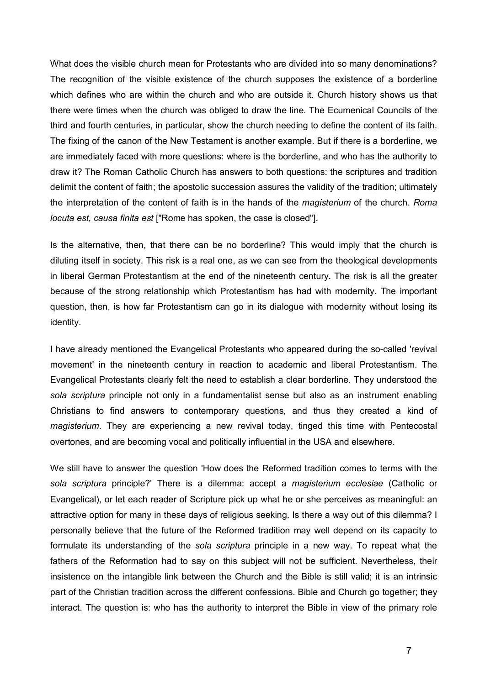What does the visible church mean for Protestants who are divided into so many denominations? The recognition of the visible existence of the church supposes the existence of a borderline which defines who are within the church and who are outside it. Church history shows us that there were times when the church was obliged to draw the line. The Ecumenical Councils of the third and fourth centuries, in particular, show the church needing to define the content of its faith. The fixing of the canon of the New Testament is another example. But if there is a borderline, we are immediately faced with more questions: where is the borderline, and who has the authority to draw it? The Roman Catholic Church has answers to both questions: the scriptures and tradition delimit the content of faith; the apostolic succession assures the validity of the tradition; ultimately the interpretation of the content of faith is in the hands of the *magisterium* of the church. *Roma locuta est, causa finita est* ["Rome has spoken, the case is closed"].

Is the alternative, then, that there can be no borderline? This would imply that the church is Is the alternative, then, that there can be no borderline? This would imply that the church is<br>diluting itself in society. This risk is a real one, as we can see from the theological developments in liberal German Protestantism at the end of the nineteenth century. The risk is all the greater because of the strong relationship which Protestantism has had with modernity. The important question, then, is how far Protestantism can go in its dialogue with modernity without losing its identity.

I have already mentioned the Evangelical Protestants who appeared during the so-called 'revival movement' in the nineteenth century in reaction to academic and liberal Protestantism. The Evangelical Protestants clearly felt the need to establish a clear borderline. They understood the *sola scriptura* principle not only in a fundamentalist sense but also as an instrument enabling Christians to find answers to contemporary questions, and thus they created a kind of *magisterium*. They are experiencing a new revival today, tinged this time with Pentecostal overtones, and are becoming vocal and politically influential in the USA and elsewhere.

We still have to answer the question 'How does the Reformed tradition comes to terms with the *sola scriptura* principle?' There is a dilemma: accept a *magisterium ecclesiae* (Catholic or Evangelical), or let each reader of Scripture pick up what he or she perceives as meaningful: an attractive option for many in these days of religious seeking. Is there a way out of this dilemma? I personally believe that the future of the Reformed tradition may well depend on its capacity to formulate its understanding of the *sola scriptura* principle in a new way. To repeat what the fathers of the Reformation had to say on this subject will not be sufficient. Nevertheless, their insistence on the intangible link between the Church and the Bible is still valid; it is an intrinsic part of the Christian tradition across the different confessions. Bible and Church go together; they interact. The question is: who has the authority to interpret the Bible in view of the primary role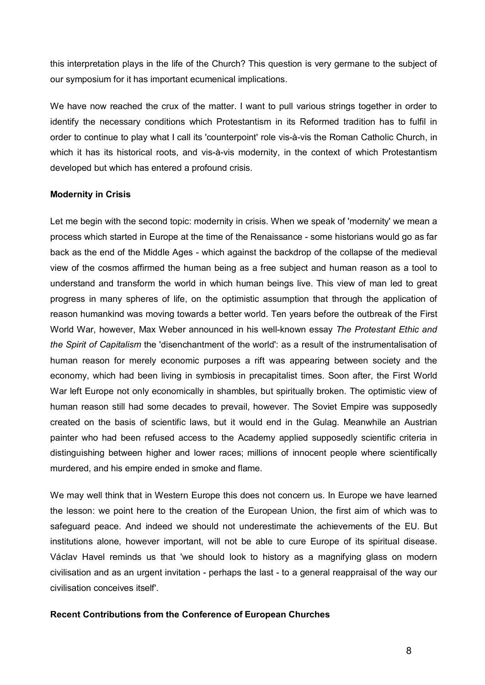this interpretation plays in the life of the Church? This question is very germane to the subject of our symposium for it has important ecumenical implications.

We have now reached the crux of the matter. I want to pull various strings together in order to identify the necessary conditions which Protestantism in its Reformed tradition has to fulfil in order to continue to play what I call its 'counterpoint' role vis-à-vis the Roman Catholic Church, in which it has its historical roots, and vis-à-vis modernity, in the context of which Protestantism developed but which has entered a profound crisis.

#### **Modernity in Crisis**

Let me begin with the second topic: modernity in crisis. When we speak of 'modernity' we mean a Let me begin with the second topic: modernity in crisis. When we speak of 'modernity' we mean a<br>process which started in Europe at the time of the Renaissance - some historians would go as far process which started in Europe at the time of the Renaissance - some historians would go as far<br>back as the end of the Middle Ages - which against the backdrop of the collapse of the medieval view of the cosmos affirmed the human being as a free subject and human reason as a tool to understand and transform the world in which human beings live. This view of man led to great progress in many spheres of life, on the optimistic assumption that through the application of reason humankind was moving towards a better world. Ten years before the outbreak of the First World War, however, Max Weber announced in his well-known essay *The Protestant Ethic and the Spirit of Capitalism* the 'disenchantment of the world': as a result of the instrumentalisation of human reason for merely economic purposes a rift was appearing between society and the economy, which had been living in symbiosis in precapitalist times. Soon after, the First World War left Europe not only economically in shambles, but spiritually broken. The optimistic view of human reason still had some decades to prevail, however. The Soviet Empire was supposedly created on the basis of scientific laws, but it would end in the Gulag. Meanwhile an Austrian painter who had been refused access to the Academy applied supposedly scientific criteria in distinguishing between higher and lower races; millions of innocent people where scientifically murdered, and his empire ended in smoke and flame.

We may well think that in Western Europe this does not concern us. In Europe we have learned the lesson: we point here to the creation of the European Union, the first aim of which was to safeguard peace. And indeed we should not underestimate the achievements of the EU. But institutions alone, however important, will not be able to cure Europe of its spiritual disease. Václav Havel reminds us that 'we should look to history as a magnifying glass on modern civilisation and as an urgent invitation - perhaps the last - to a general reappraisal of the way our civilisation conceives itself'.

#### **Recent Contributions from the Conference of European Churches**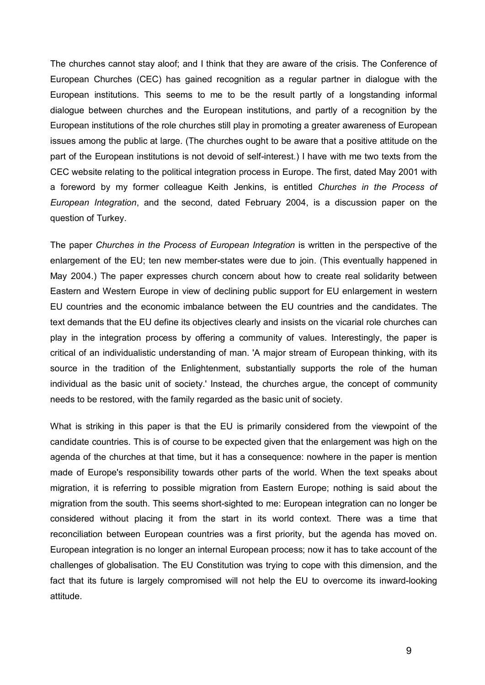The churches cannot stay aloof; and I think that they are aware of the crisis. The Conference of European Churches (CEC) has gained recognition as a regular partner in dialogue with the European institutions. This seems to me to be the result partly of a longstanding informal dialogue between churches and the European institutions, and partly of a recognition by the European institutions of the role churches still play in promoting a greater awareness of European issues among the public at large. (The churches ought to be aware that a positive attitude on the part of the European institutions is not devoid of self-interest.) I have with me two texts from the CEC website relating to the political integration process in Europe. The first, dated May 2001 with a foreword by my former colleague Keith Jenkins, is entitled *Churches in the Process of European Integration*, and the second, dated February 2004, is a discussion paper on the question of Turkey.

The paper *Churches in the Process of European Integration* is written in the perspective of the The paper Churches in the Process of European Integration is written in the perspective of the<br>enlargement of the EU; ten new member-states were due to join. (This eventually happened in May 2004.) The paper expresses church concern about how to create real solidarity between Eastern and Western Europe in view of declining public support for EU enlargement in western EU countries and the economic imbalance between the EU countries and the candidates. The text demands that the EU define its objectives clearly and insists on the vicarial role churches can play in the integration process by offering a community of values. Interestingly, the paper is critical of an individualistic understanding of man. 'A major stream of European thinking, with its source in the tradition of the Enlightenment, substantially supports the role of the human individual as the basic unit of society.' Instead, the churches argue, the concept of community needs to be restored, with the family regarded as the basic unit of society.

What is striking in this paper is that the EU is primarily considered from the viewpoint of the candidate countries. This is of course to be expected given that the enlargement was high on the agenda of the churches at that time, but it has a consequence: nowhere in the paper is mention made of Europe's responsibility towards other parts of the world. When the text speaks about migration, it is referring to possible migration from Eastern Europe; nothing is said about the migration from the south. This seems short-sighted to me: European integration can no longer be considered without placing it from the start in its world context. There was a time that reconciliation between European countries was a first priority, but the agenda has moved on. European integration is no longer an internal European process; now it has to take account of the European integration is no longer an internal European process; now it has to take account of the<br>challenges of globalisation. The EU Constitution was trying to cope with this dimension, and the fact that its future is largely compromised will not help the EU to overcome its inward-looking attitude.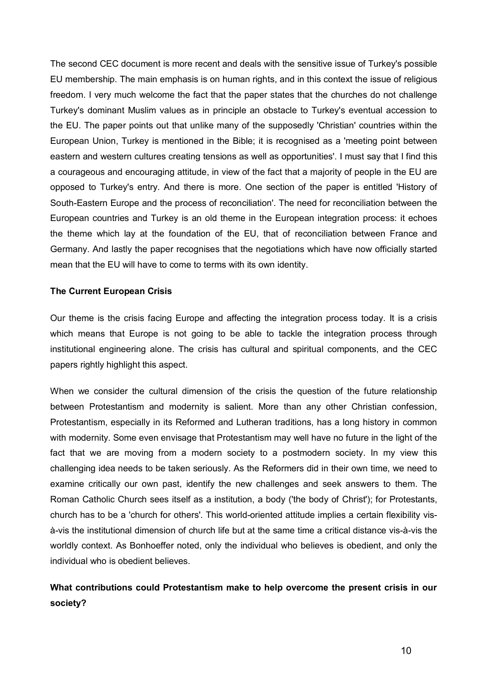The second CEC document is more recent and deals with the sensitive issue of Turkey's possible EU membership. The main emphasis is on human rights, and in this context the issue of religious freedom. I very much welcome the fact that the paper states that the churches do not challenge Turkey's dominant Muslim values as in principle an obstacle to Turkey's eventual accession to the EU. The paper points out that unlike many of the supposedly 'Christian' countries within the European Union, Turkey is mentioned in the Bible; it is recognised as a 'meeting point between eastern and western cultures creating tensions as well as opportunities'. I must say that I find this a courageous and encouraging attitude, in view of the fact that a majority of people in the EU are opposed to Turkey's entry. And there is more. One section of the paper is entitled 'History of South-Eastern Europe and the process of reconciliation'. The need for reconciliation between the European countries and Turkey is an old theme in the European integration process: it echoes the theme which lay at the foundation of the EU, that of reconciliation between France and Germany. And lastly the paper recognises that the negotiations which have now officially started mean that the EU will have to come to terms with its own identity.

## **The Current European Crisis**

Our theme is the crisis facing Europe and affecting the integration process today. It is a crisis which means that Europe is not going to be able to tackle the integration process through institutional engineering alone. The crisis has cultural and spiritual components, and the CEC papers rightly highlight this aspect.

When we consider the cultural dimension of the crisis the question of the future relationship between Protestantism and modernity is salient. More than any other Christian confession, Protestantism, especially in its Reformed and Lutheran traditions, has a long history in common with modernity. Some even envisage that Protestantism may well have no future in the light of the fact that we are moving from a modern society to a postmodern society. In my view this challenging idea needs to be taken seriously. As the Reformers did in their own time, we need to examine critically our own past, identify the new challenges and seek answers to them. The Roman Catholic Church sees itself as a institution, a body ('the body of Christ'); for Protestants, church has to be a 'church for others'. This world-oriented attitude implies a certain flexibility visà-vis the institutional dimension of church life but at the same time a critical distance vis-à-vis the worldly context. As Bonhoeffer noted, only the individual who believes is obedient, and only the individual who is obedient believes.

# **What contributions could Protestantism make to help overcome the present crisis in our society?**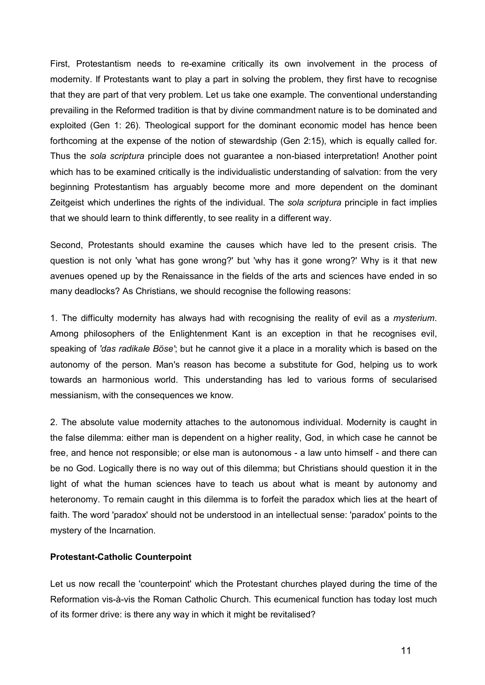First, Protestantism needs to re-examine critically its own involvement in the process of modernity. If Protestants want to play a part in solving the problem, they first have to recognise that they are part of that very problem. Let us take one example. The conventional understanding prevailing in the Reformed tradition is that by divine commandment nature is to be dominated and exploited (Gen 1: 26). Theological support for the dominant economic model has hence been forthcoming at the expense of the notion of stewardship (Gen 2:15), which is equally called for. Thus the *sola scriptura* principle does not guarantee a non-biased interpretation! Another point which has to be examined critically is the individualistic understanding of salvation: from the very beginning Protestantism has arguably become more and more dependent on the dominant Zeitgeist which underlines the rights of the individual. The *sola scriptura* principle in fact implies that we should learn to think differently, to see reality in a different way.

Second, Protestants should examine the causes which have led to the present crisis. The question is not only 'what has gone wrong?' but 'why has it gone wrong?' Why is it that new avenues opened up by the Renaissance in the fields of the arts and sciences have ended in so many deadlocks? As Christians, we should recognise the following reasons:

1. The difficulty modernity has always had with recognising the reality of evil as a *mysterium*. Among philosophers of the Enlightenment Kant is an exception in that he recognises evil, speaking of *'das radikale Böse'*; but he cannot give it a place in a morality which is based on the autonomy of the person. Man's reason has become a substitute for God, helping us to work towards an harmonious world. This understanding has led to various forms of secularised messianism, with the consequences we know.

2. The absolute value modernity attaches to the autonomous individual. Modernity is caught in the false dilemma: either man is dependent on a higher reality, God, in which case he cannot be the false dilemma: either man is dependent on a higher reality, God, in which case he cannot be<br>free, and hence not responsible; or else man is autonomous - a law unto himself - and there can be no God. Logically there is no way out of this dilemma; but Christians should question it in the light of what the human sciences have to teach us about what is meant by autonomy and heteronomy. To remain caught in this dilemma is to forfeit the paradox which lies at the heart of faith. The word 'paradox' should not be understood in an intellectual sense: 'paradox' points to the mystery of the Incarnation.

## **Protestant-Catholic Counterpoint**

Let us now recall the 'counterpoint' which the Protestant churches played during the time of the Reformation vis-à-vis the Roman Catholic Church. This ecumenical function has today lost much of its former drive: is there any way in which it might be revitalised?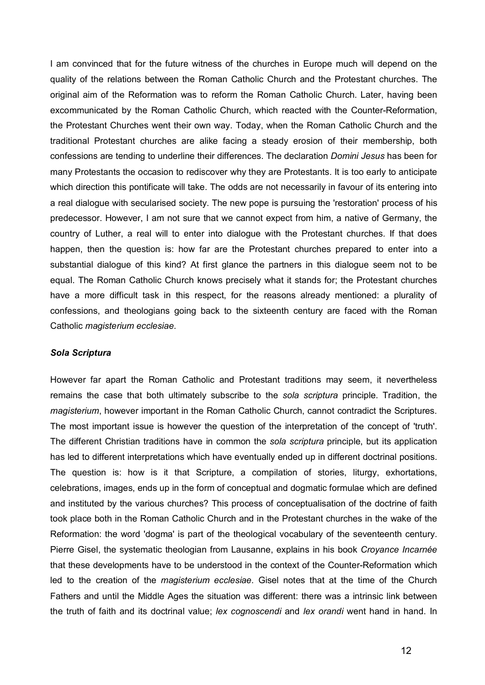I am convinced that for the future witness of the churches in Europe much will depend on the quality of the relations between the Roman Catholic Church and the Protestant churches. The original aim of the Reformation was to reform the Roman Catholic Church. Later, having been excommunicated by the Roman Catholic Church, which reacted with the Counter-Reformation, the Protestant Churches went their own way. Today, when the Roman Catholic Church and the traditional Protestant churches are alike facing a steady erosion of their membership, both confessions are tending to underline their differences. The declaration *Domini Jesus* has been for many Protestants the occasion to rediscover why they are Protestants. It is too early to anticipate which direction this pontificate will take. The odds are not necessarily in favour of its entering into a real dialogue with secularised society. The new pope is pursuing the 'restoration' process of his predecessor. However, I am not sure that we cannot expect from him, a native of Germany, the country of Luther, a real will to enter into dialogue with the Protestant churches. If that does happen, then the question is: how far are the Protestant churches prepared to enter into a substantial dialogue of this kind? At first glance the partners in this dialogue seem not to be equal. The Roman Catholic Church knows precisely what it stands for; the Protestant churches have a more difficult task in this respect, for the reasons already mentioned: a plurality of confessions, and theologians going back to the sixteenth century are faced with the Roman Catholic *magisterium ecclesiae*.

#### *Sola Scriptura*

However far apart the Roman Catholic and Protestant traditions may seem, it nevertheless remains the case that both ultimately subscribe to the *sola scriptura* principle. Tradition, the *magisterium*, however important in the Roman Catholic Church, cannot contradict the Scriptures. The most important issue is however the question of the interpretation of the concept of 'truth'. The different Christian traditions have in common the *sola scriptura* principle, but its application has led to different interpretations which have eventually ended up in different doctrinal positions. The question is: how is it that Scripture, a compilation of stories, liturgy, exhortations, celebrations, images, ends up in the form of conceptual and dogmatic formulae which are defined and instituted by the various churches? This process of conceptualisation of the doctrine of faith took place both in the Roman Catholic Church and in the Protestant churches in the wake of the Reformation: the word 'dogma' is part of the theological vocabulary of the seventeenth century. Pierre Gisel, the systematic theologian from Lausanne, explains in his book *Croyance Incarnée* that these developments have to be understood in the context of the Counter-Reformation which led to the creation of the *magisterium ecclesiae*. Gisel notes that at the time of the Church Fathers and until the Middle Ages the situation was different: there was a intrinsic link between the truth of faith and its doctrinal value; *lex cognoscendi* and *lex orandi* went hand in hand. In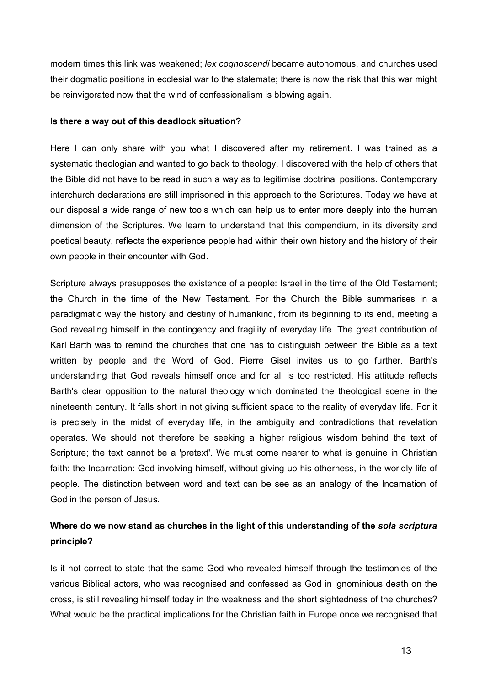modern times this link was weakened; *lex cognoscendi* became autonomous, and churches used modern times this link was weakened; *lex cognoscendi* became autonomous, and churches used<br>their dogmatic positions in ecclesial war to the stalemate; there is now the risk that this war might be reinvigorated now that the wind of confessionalism is blowing again.

#### **Is there a way out of this deadlock situation?**

Here I can only share with you what I discovered after my retirement. I was trained as a systematic theologian and wanted to go back to theology. I discovered with the help of others that the Bible did not have to be read in such a way as to legitimise doctrinal positions. Contemporary interchurch declarations are still imprisoned in this approach to the Scriptures. Today we have at our disposal a wide range of new tools which can help us to enter more deeply into the human dimension of the Scriptures. We learn to understand that this compendium, in its diversity and poetical beauty, reflects the experience people had within their own history and the history of their own people in their encounter with God.

Scripture always presupposes the existence of a people: Israel in the time of the Old Testament; the Church in the time of the New Testament. For the Church the Bible summarises in a paradigmatic way the history and destiny of humankind, from its beginning to its end, meeting a God revealing himself in the contingency and fragility of everyday life. The great contribution of Karl Barth was to remind the churches that one has to distinguish between the Bible as a text written by people and the Word of God. Pierre Gisel invites us to go further. Barth's understanding that God reveals himself once and for all is too restricted. His attitude reflects Barth's clear opposition to the natural theology which dominated the theological scene in the nineteenth century. It falls short in not giving sufficient space to the reality of everyday life. For it is precisely in the midst of everyday life, in the ambiguity and contradictions that revelation operates. We should not therefore be seeking a higher religious wisdom behind the text of Scripture; the text cannot be a 'pretext'. We must come nearer to what is genuine in Christian faith: the Incarnation: God involving himself, without giving up his otherness, in the worldly life of people. The distinction between word and text can be see as an analogy of the Incarnation of God in the person of Jesus.

# **Where do we now stand as churches in the light of this understanding of the** *sola scriptura* **principle?**

Is it not correct to state that the same God who revealed himself through the testimonies of the various Biblical actors, who was recognised and confessed as God in ignominious death on the cross, is still revealing himself today in the weakness and the short sightedness of the churches? What would be the practical implications for the Christian faith in Europe once we recognised that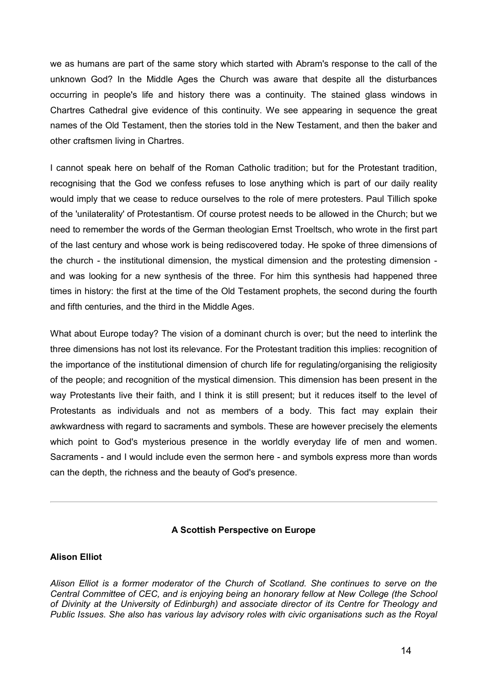we as humans are part of the same story which started with Abram's response to the call of the unknown God? In the Middle Ages the Church was aware that despite all the disturbances occurring in people's life and history there was a continuity. The stained glass windows in Chartres Cathedral give evidence of this continuity. We see appearing in sequence the great names of the Old Testament, then the stories told in the New Testament, and then the baker and other craftsmen living in Chartres.

I cannot speak here on behalf of the Roman Catholic tradition; but for the Protestant tradition, recognising that the God we confess refuses to lose anything which is part of our daily reality would imply that we cease to reduce ourselves to the role of mere protesters. Paul Tillich spoke of the 'unilaterality' of Protestantism. Of course protest needs to be allowed in the Church; but we need to remember the words of the German theologian Ernst Troeltsch, who wrote in the first part of the last century and whose work is being rediscovered today. He spoke of three dimensions of the church - the institutional dimension, the mystical dimension and the protesting dimension and was looking for a new synthesis of the three. For him this synthesis had happened three times in history: the first at the time of the Old Testament prophets, the second during the fourth and fifth centuries, and the third in the Middle Ages.

What about Europe today? The vision of a dominant church is over; but the need to interlink the three dimensions has not lost its relevance. For the Protestant tradition this implies: recognition of the importance of the institutional dimension of church life for regulating/organising the religiosity of the people; and recognition of the mystical dimension. This dimension has been present in the way Protestants live their faith, and I think it is still present; but it reduces itself to the level of Protestants as individuals and not as members of a body. This fact may explain their awkwardness with regard to sacraments and symbols. These are however precisely the elements which point to God's mysterious presence in the worldly everyday life of men and women. which point to God's mysterious presence in the worldly everyday life of men and women.<br>Sacraments - and I would include even the sermon here - and symbols express more than words can the depth, the richness and the beauty of God's presence.

## **A Scottish Perspective on Europe**

#### **Alison Elliot**

*Alison Elliot is a former moderator of the Church of Scotland. She continues to serve on the Central Committee of CEC, and is enjoying being an honorary fellow at New College (the School of Divinity at the University of Edinburgh) and associate director of its Centre for Theology and Public Issues. She also has various lay advisory roles with civic organisations such as the Royal*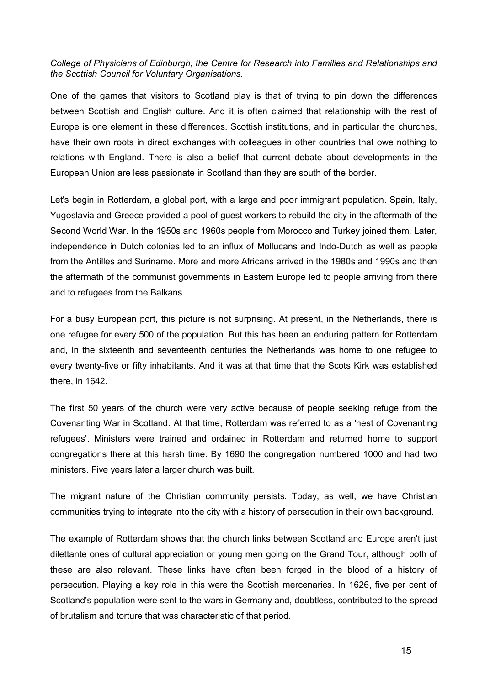## *College of Physicians of Edinburgh, the Centre for Research into Families and Relationships and the Scottish Council for Voluntary Organisations.*

One of the games that visitors to Scotland play is that of trying to pin down the differences between Scottish and English culture. And it is often claimed that relationship with the rest of Europe is one element in these differences. Scottish institutions, and in particular the churches, have their own roots in direct exchanges with colleagues in other countries that owe nothing to relations with England. There is also a belief that current debate about developments in the European Union are less passionate in Scotland than they are south of the border.

Let's begin in Rotterdam, a global port, with a large and poor immigrant population. Spain, Italy, Yugoslavia and Greece provided a pool of guest workers to rebuild the city in the aftermath of the Second World War. In the 1950s and 1960s people from Morocco and Turkey joined them. Later, independence in Dutch colonies led to an influx of Mollucans and Indo-Dutch as well as people from the Antilles and Suriname. More and more Africans arrived in the 1980s and 1990s and then the aftermath of the communist governments in Eastern Europe led to people arriving from there and to refugees from the Balkans.

For a busy European port, this picture is not surprising. At present, in the Netherlands, there is one refugee for every 500 of the population. But this has been an enduring pattern for Rotterdam and, in the sixteenth and seventeenth centuries the Netherlands was home to one refugee to every twenty-five or fifty inhabitants. And it was at that time that the Scots Kirk was established there, in 1642.

The first 50 years of the church were very active because of people seeking refuge from the Covenanting War in Scotland. At that time, Rotterdam was referred to as a 'nest of Covenanting refugees'. Ministers were trained and ordained in Rotterdam and returned home to support congregations there at this harsh time. By 1690 the congregation numbered 1000 and had two ministers. Five years later a larger church was built.

The migrant nature of the Christian community persists. Today, as well, we have Christian communities trying to integrate into the city with a history of persecution in their own background.

The example of Rotterdam shows that the church links between Scotland and Europe aren't just dilettante ones of cultural appreciation or young men going on the Grand Tour, although both of these are also relevant. These links have often been forged in the blood of a history of persecution. Playing a key role in this were the Scottish mercenaries. In 1626, five per cent of Scotland's population were sent to the wars in Germany and, doubtless, contributed to the spread of brutalism and torture that was characteristic of that period.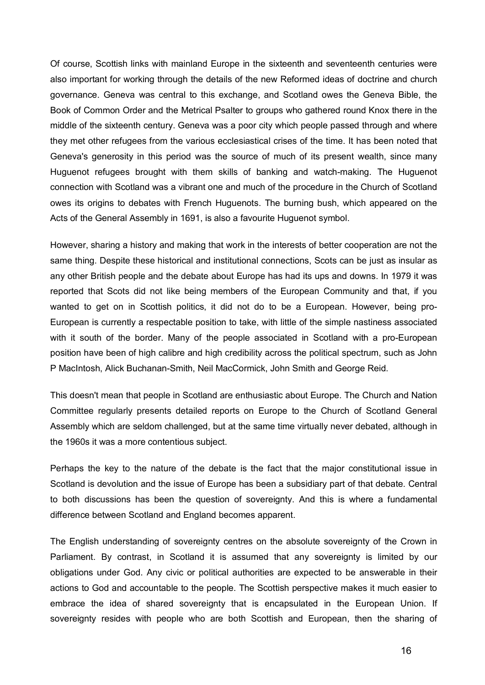Of course, Scottish links with mainland Europe in the sixteenth and seventeenth centuries were also important for working through the details of the new Reformed ideas of doctrine and church governance. Geneva was central to this exchange, and Scotland owes the Geneva Bible, the Book of Common Order and the Metrical Psalter to groups who gathered round Knox there in the middle of the sixteenth century. Geneva was a poor city which people passed through and where they met other refugees from the various ecclesiastical crises of the time. It has been noted that Geneva's generosity in this period was the source of much of its present wealth, since many Huguenot refugees brought with them skills of banking and watch-making. The Huguenot connection with Scotland was a vibrant one and much of the procedure in the Church of Scotland owes its origins to debates with French Huguenots. The burning bush, which appeared on the owes its origins to debates with French Huguenots. The burning bush, whio<br>Acts of the General Assembly in 1691, is also a favourite Huguenot symbol.

However, sharing a history and making that work in the interests of better cooperation are not the same thing. Despite these historical and institutional connections, Scots can be just as insular as any other British people and the debate about Europe has had its ups and downs. In 1979 it was reported that Scots did not like being members of the European Community and that, if you wanted to get on in Scottish politics, it did not do to be a European. However, being pro-European is currently a respectable position to take, with little of the simple nastiness associated with it south of the border. Many of the people associated in Scotland with a pro-European position have been of high calibre and high credibility across the political spectrum, such as John P MacIntosh, Alick Buchanan-Smith, Neil MacCormick, John Smith and George Reid.

This doesn't mean that people in Scotland are enthusiastic about Europe. The Church and Nation This doesn't mean that people in Scotland are enthusiastic about Europe. The Church and Nation<br>Committee regularly presents detailed reports on Europe to the Church of Scotland General Assembly which are seldom challenged, but at the same time virtually never debated, although in the 1960s it was a more contentious subject.

Perhaps the key to the nature of the debate is the fact that the major constitutional issue in Scotland is devolution and the issue of Europe has been a subsidiary part of that debate. Central to both discussions has been the question of sovereignty. And this is where a fundamental difference between Scotland and England becomes apparent.

The English understanding of sovereignty centres on the absolute sovereignty of the Crown in Parliament. By contrast, in Scotland it is assumed that any sovereignty is limited by our perifiament. By contrast, in Scotland it is assumed that any sovereignty is limited by our<br>obligations under God. Any civic or political authorities are expected to be answerable in their actions to God and accountable to the people. The Scottish perspective makes it much easier to embrace the idea of shared sovereignty that is encapsulated in the European Union. If embrace the idea of shared sovereignty that is encapsulated in the European Union. If<br>sovereignty resides with people who are both Scottish and European, then the sharing of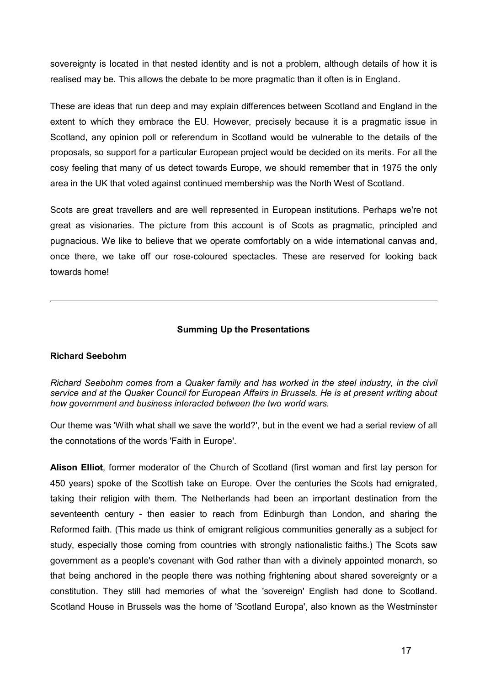sovereignty is located in that nested identity and is not a problem, although details of how it is realised may be. This allows the debate to be more pragmatic than it often is in England.

These are ideas that run deep and may explain differences between Scotland and England in the extent to which they embrace the EU. However, precisely because it is a pragmatic issue in Scotland, any opinion poll or referendum in Scotland would be vulnerable to the details of the proposals, so support for a particular European project would be decided on its merits. For all the cosy feeling that many of us detect towards Europe, we should remember that in 1975 the only area in the UK that voted against continued membership was the North West of Scotland.

Scots are great travellers and are well represented in European institutions. Perhaps we're not great as visionaries. The picture from this account is of Scots as pragmatic, principled and pugnacious. We like to believe that we operate comfortably on a wide international canvas and, once there, we take off our rose-coloured spectacles. These are reserved for looking back towards home!

## **Summing Up the Presentations**

## **Richard Seebohm**

*Richard Seebohm comes from a Quaker family and has worked in the steel industry, in the civil service and at the Quaker Council for European Affairs in Brussels. He is at present writing about how government and business interacted between the two world wars.*

Our theme was 'With what shall we save the world?', but in the event we had a serial review of all the connotations of the words 'Faith in Europe'.

**Alison Elliot**, former moderator of the Church of Scotland (first woman and first lay person for 450 years) spoke of the Scottish take on Europe. Over the centuries the Scots had emigrated, taking their religion with them. The Netherlands had been an important destination from the taking their religion with them. The Netherlands had been an important destination from the<br>seventeenth century - then easier to reach from Edinburgh than London, and sharing the Reformed faith. (This made us think of emigrant religious communities generally as a subject for study, especially those coming from countries with strongly nationalistic faiths.) The Scots saw government as a people's covenant with God rather than with a divinely appointed monarch, so that being anchored in the people there was nothing frightening about shared sovereignty or a constitution. They still had memories of what the 'sovereign' English had done to Scotland. Scotland House in Brussels was the home of 'Scotland Europa', also known as the Westminster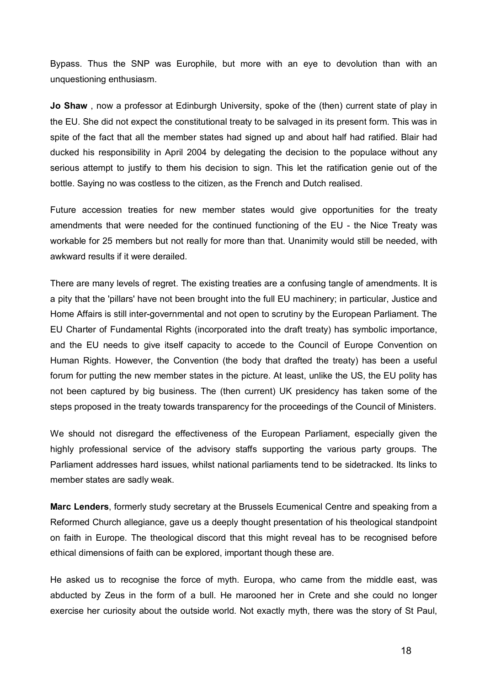Bypass. Thus the SNP was Europhile, but more with an eye to devolution than with an unquestioning enthusiasm.

**Jo Shaw** , now a professor at Edinburgh University, spoke of the (then) current state of play in the EU. She did not expect the constitutional treaty to be salvaged in its present form. This was in spite of the fact that all the member states had signed up and about half had ratified. Blair had ducked his responsibility in April 2004 by delegating the decision to the populace without any serious attempt to justify to them his decision to sign. This let the ratification genie out of the bottle. Saying no was costless to the citizen, as the French and Dutch realised.

Future accession treaties for new member states would give opportunities for the treaty amendments that were needed for the continued functioning of the EU - the Nice Treaty was workable for 25 members but not really for more than that. Unanimity would still be needed, with awkward results if it were derailed.

There are many levels of regret. The existing treaties are a confusing tangle of amendments. It is a pity that the 'pillars' have not been brought into the full EU machinery; in particular, Justice and Home Affairs is still inter-governmental and not open to scrutiny by the European Parliament. The EU Charter of Fundamental Rights (incorporated into the draft treaty) has symbolic importance, and the EU needs to give itself capacity to accede to the Council of Europe Convention on Human Rights. However, the Convention (the body that drafted the treaty) has been a useful forum for putting the new member states in the picture. At least, unlike the US, the EU polity has not been captured by big business. The (then current) UK presidency has taken some of the steps proposed in the treaty towards transparency for the proceedings of the Council of Ministers.

We should not disregard the effectiveness of the European Parliament, especially given the highly professional service of the advisory staffs supporting the various party groups. The Parliament addresses hard issues, whilst national parliaments tend to be sidetracked. Its links to Parliament addresses hard issue<br>member states are sadly weak.

**Marc Lenders**, formerly study secretary at the Brussels Ecumenical Centre and speaking from a Reformed Church allegiance, gave us a deeply thought presentation of his theological standpoint on faith in Europe. The theological discord that this might reveal has to be recognised before ethical dimensions of faith can be explored, important though these are.

He asked us to recognise the force of myth. Europa, who came from the middle east, was He asked us to recognise the force of myth. Europa, who came from the middle east, was<br>abducted by Zeus in the form of a bull. He marooned her in Crete and she could no longer exercise her curiosity about the outside world. Not exactly myth, there was the story of St Paul,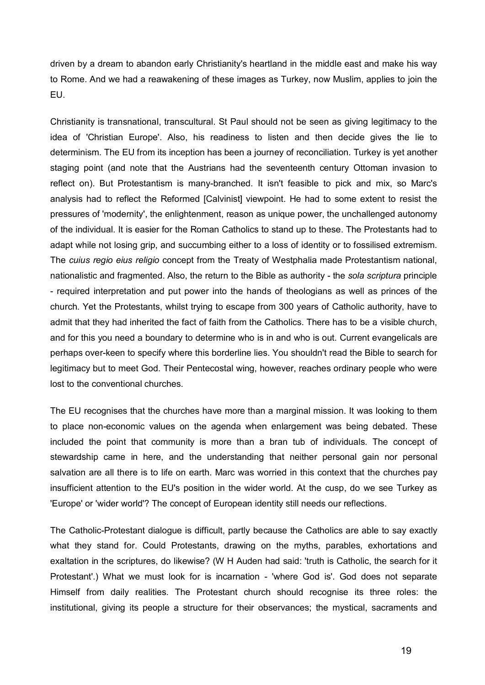driven by a dream to abandon early Christianity's heartland in the middle east and make his way to Rome. And we had a reawakening of these images as Turkey, now Muslim, applies to join the EU.

Christianity is transnational, transcultural. St Paul should not be seen as giving legitimacy to the idea of 'Christian Europe'. Also, his readiness to listen and then decide gives the lie to determinism. The EU from its inception has been a journey of reconciliation. Turkey is yet another staging point (and note that the Austrians had the seventeenth century Ottoman invasion to reflect on). But Protestantism is many-branched. It isn't feasible to pick and mix, so Marc's analysis had to reflect the Reformed [Calvinist] viewpoint. He had to some extent to resist the pressures of 'modernity', the enlightenment, reason as unique power, the unchallenged autonomy of the individual. It is easier for the Roman Catholics to stand up to these. The Protestants had to adapt while not losing grip, and succumbing either to a loss of identity or to fossilised extremism. The *cuius regio eius religio* concept from the Treaty of Westphalia made Protestantism national, The *cuius regio eius religio* concept from the Treaty of Westphalia made Protestantism national,<br>nationalistic and fragmented. Also, the return to the Bible as authority - the *sola scriptura* principle nationalistic and fragmented. Also, the return to the Bible as authority - the sola scriptura principle<br>- required interpretation and put power into the hands of theologians as well as princes of the church. Yet the Protestants, whilst trying to escape from 300 years of Catholic authority, have to admit that they had inherited the fact of faith from the Catholics. There has to be a visible church, and for this you need a boundary to determine who is in and who is out. Current evangelicals are perhaps over-keen to specify where this borderline lies. You shouldn't read the Bible to search for legitimacy but to meet God. Their Pentecostal wing, however, reaches ordinary people who were lost to the conventional churches.

The EU recognises that the churches have more than a marginal mission. It was looking to them to place non-economic values on the agenda when enlargement was being debated. These included the point that community is more than a bran tub of individuals. The concept of included the point that community is more than a bran tub of individuals. The concept of stewardship came in here, and the understanding that neither personal gain nor personal salvation are all there is to life on earth. Marc was worried in this context that the churches pay insufficient attention to the EU's position in the wider world. At the cusp, do we see Turkey as 'Europe' or 'wider world'? The concept of European identity still needs our reflections.

The Catholic-Protestant dialogue is difficult, partly because the Catholics are able to say exactly what they stand for. Could Protestants, drawing on the myths, parables, exhortations and exaltation in the scriptures, do likewise? (W H Auden had said: 'truth is Catholic, the search for it exaltation in the scriptures, do likewise? (W H Auden had said: 'truth is Catholic, the search for it<br>Protestant'.) What we must look for is incarnation - 'where God is'. God does not separate Himself from daily realities. The Protestant church should recognise its three roles: the institutional, giving its people a structure for their observances; the mystical, sacraments and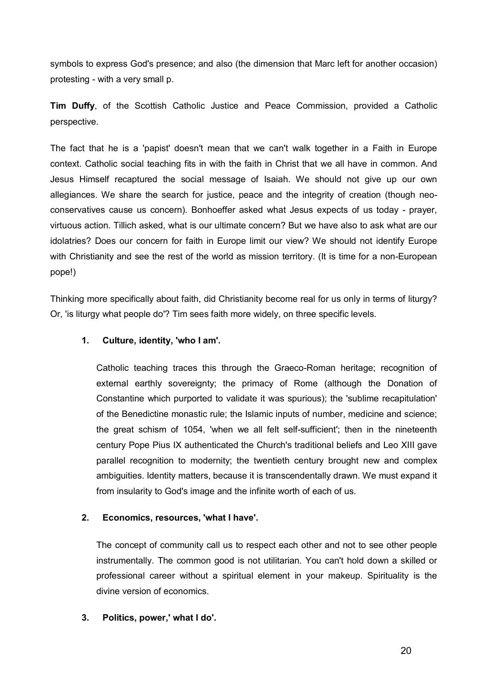symbols to express God's presence; and also (the dimension that Marc left for another occasion) symbols to express God's preser<br>protesting - with a very small p.

**Tim Duffy**, of the Scottish Catholic Justice and Peace Commission, provided a Catholic perspective.

The fact that he is a 'papist' doesn't mean that we can't walk together in a Faith in Europe The fact that he is a 'papist' doesn't mean that we can't walk together in a Faith in Europe<br>context. Catholic social teaching fits in with the faith in Christ that we all have in common. And Jesus Himself recaptured the social message of Isaiah. We should not give up our own allegiances. We share the search for justice, peace and the integrity of creation (though neoallegiances. We share the search for justice, peace and the integrity of creation (though neo-<br>conservatives cause us concern). Bonhoeffer asked what Jesus expects of us today - prayer, virtuous action. Tillich asked, what is our ultimate concern? But we have also to ask what are our idolatries? Does our concern for faith in Europe limit our view? We should not identify Europe with Christianity and see the rest of the world as mission territory. (It is time for a non-European pope!)

Thinking more specifically about faith, did Christianity become real for us only in terms of liturgy? Or, 'is liturgy what people do'? Tim sees faith more widely, on three specific levels.

## **1. Culture, identity, 'who I am'.**

Catholic teaching traces this through the Graeco-Roman heritage; recognition of external earthly sovereignty; the primacy of Rome (although the Donation of Constantine which purported to validate it was spurious); the 'sublime recapitulation' of the Benedictine monastic rule; the Islamic inputs of number, medicine and science; the great schism of 1054, 'when we all felt self-sufficient'; then in the nineteenth the great schism of 1054, 'when we all felt self-sufficient'; then in the nineteenth<br>century Pope Pius IX authenticated the Church's traditional beliefs and Leo XIII gave parallel recognition to modernity; the twentieth century brought new and complex ambiguities. Identity matters, because it is transcendentally drawn. We must expand it from insularity to God's image and the infinite worth of each of us.

## **2. Economics, resources, 'what I have'.**

The concept of community call us to respect each other and not to see other people instrumentally. The common good is not utilitarian. You can't hold down a skilled or professional career without a spiritual element in your makeup. Spirituality is the divine version of economics.

## **3. Politics, power,' what I do'.**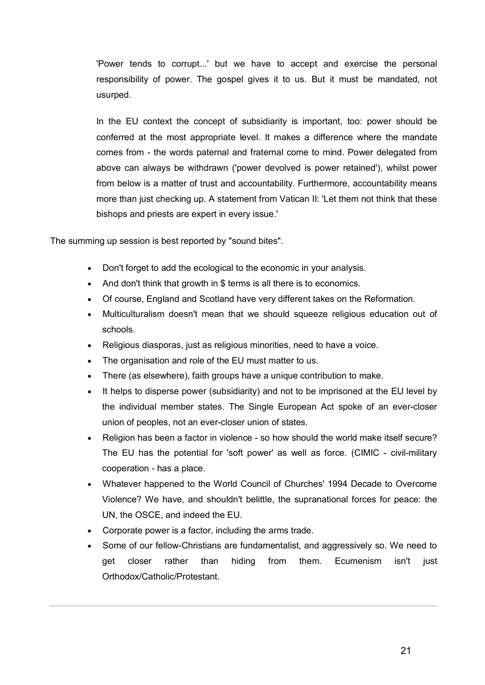'Power tends to corrupt...' but we have to accept and exercise the personal responsibility of power. The gospel gives it to us. But it must be mandated, not usurped.

In the EU context the concept of subsidiarity is important, too: power should be conferred at the most appropriate level. It makes a difference where the mandate conferred at the most appropriate level. It makes a difference where the mandate<br>comes from - the words paternal and fraternal come to mind. Power delegated from above can always be withdrawn ('power devolved is power retained'), whilst power from below is a matter of trust and accountability. Furthermore, accountability means more than just checking up. A statement from Vatican II: 'Let them not think that these bishops and priests are expert in every issue.'

The summing up session is best reported by "sound bites".

- Don't forget to add the ecological to the economic in your analysis.
- And don't think that growth in \$ terms is all there is to economics.
- Of course, England and Scotland have very different takes on the Reformation.
- Multiculturalism doesn't mean that we should squeeze religious education out of schools.
- Religious diasporas, just as religious minorities, need to have a voice.
- The organisation and role of the EU must matter to us.
- There (as elsewhere), faith groups have a unique contribution to make.
- It helps to disperse power (subsidiarity) and not to be imprisoned at the EU level by the individual member states. The Single European Act spoke of an ever-closer union of peoples, not an ever-closer union of states.
- Religion has been a factor in violence so how should the world make itself secure? Religion has been a factor in violence - so how should the world make itself secure?<br>The EU has the potential for 'soft power' as well as force. (CIMIC - civil-military The EU has the potential to<br>cooperation - has a place.
- Whatever happened to the World Council of Churches' 1994 Decade to Overcome Violence? We have, and shouldn't belittle, the supranational forces for peace: the UN, the OSCE, and indeed the EU.
- Corporate power is a factor, including the arms trade.
- Some of our fellow-Christians are fundamentalist, and aggressively so. We need to get closer rather than hiding from them. Ecumenism isn't just Orthodox/Catholic/Protestant.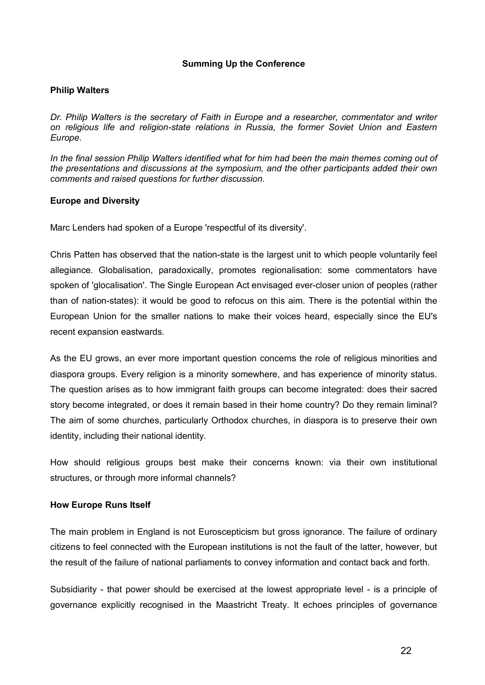## **Summing Up the Conference**

## **Philip Walters**

*Dr. Philip Walters is the secretary of Faith in Europe and a researcher, commentator and writer on religious life and religion-state relations in Russia, the former Soviet Union and Eastern Europe.* 

*In the final session Philip Walters identified what for him had been the main themes coming out of the presentations and discussions at the symposium, and the other participants added their own comments and raised questions for further discussion.*

## **Europe and Diversity**

Marc Lenders had spoken of a Europe 'respectful of its diversity'.

Chris Patten has observed that the nation-state is the largest unit to which people voluntarily feel allegiance. Globalisation, paradoxically, promotes regionalisation: some commentators have spoken of 'glocalisation'. The Single European Act envisaged ever-closer union of peoples (rather than of nation-states): it would be good to refocus on this aim. There is the potential within the European Union for the smaller nations to make their voices heard, especially since the EU's recent expansion eastwards.

As the EU grows, an ever more important question concerns the role of religious minorities and diaspora groups. Every religion is a minority somewhere, and has experience of minority status. The question arises as to how immigrant faith groups can become integrated: does their sacred story become integrated, or does it remain based in their home country? Do they remain liminal? The aim of some churches, particularly Orthodox churches, in diaspora is to preserve their own identity, including their national identity.

How should religious groups best make their concerns known: via their own institutional structures, or through more informal channels?

## **How Europe Runs Itself**

The main problem in England is not Euroscepticism but gross ignorance. The failure of ordinary citizens to feel connected with the European institutions is not the fault of the latter, however, but the result of the failure of national parliaments to convey information and contact back and forth.

Subsidiarity - that power should be exercised at the lowest appropriate level - is a principle of governance explicitly recognised in the Maastricht Treaty. It echoes principles of governance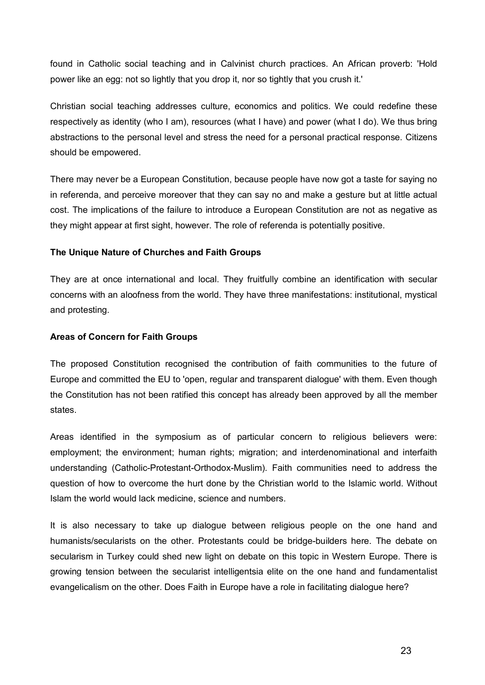found in Catholic social teaching and in Calvinist church practices. An African proverb: 'Hold power like an egg: not so lightly that you drop it, nor so tightly that you crush it.'

Christian social teaching addresses culture, economics and politics. We could redefine these respectively as identity (who I am), resources (what I have) and power (what I do). We thus bring abstractions to the personal level and stress the need for a personal practical response. Citizens should be empowered.

There may never be a European Constitution, because people have now got a taste for saying no in referenda, and perceive moreover that they can say no and make a gesture but at little actual cost. The implications of the failure to introduce a European Constitution are not as negative as cost. The implications of the failure to introduce a European Constitution are not as r<br>they might appear at first sight, however. The role of referenda is potentially positive.

## **The Unique Nature of Churches and Faith Groups**

They are at once international and local. They fruitfully combine an identification with secular They are at once international and local. They fruitfully combine an identification with secular<br>concerns with an aloofness from the world. They have three manifestations: institutional, mystical and protesting.

## **Areas of Concern for Faith Groups**

The proposed Constitution recognised the contribution of faith communities to the future of Europe and committed the EU to 'open, regular and transparent dialogue' with them. Even though the Constitution has not been ratified this concept has already been approved by all the member states.

Areas identified in the symposium as of particular concern to religious believers were: employment; the environment; human rights; migration; and interdenominational and interfaith understanding (Catholic-Protestant-Orthodox-Muslim). Faith communities need to address the question of how to overcome the hurt done by the Christian world to the Islamic world. Without Islam the world would lack medicine, science and numbers.

It is also necessary to take up dialogue between religious people on the one hand and humanists/secularists on the other. Protestants could be bridge-builders here. The debate on secularism in Turkey could shed new light on debate on this topic in Western Europe. There is growing tension between the secularist intelligentsia elite on the one hand and fundamentalist evangelicalism on the other. Does Faith in Europe have a role in facilitating dialogue here?